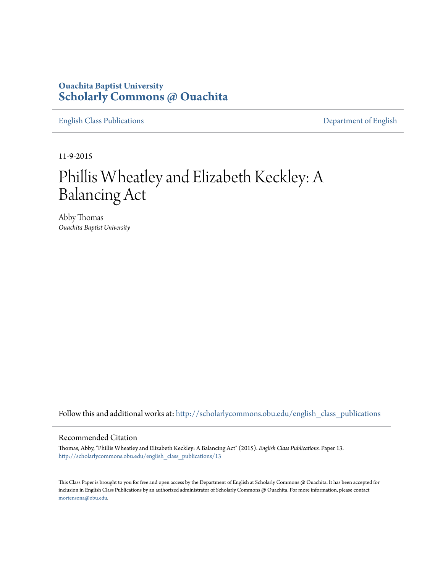## **Ouachita Baptist University [Scholarly Commons @ Ouachita](http://scholarlycommons.obu.edu?utm_source=scholarlycommons.obu.edu%2Fenglish_class_publications%2F13&utm_medium=PDF&utm_campaign=PDFCoverPages)**

[English Class Publications](http://scholarlycommons.obu.edu/english_class_publications?utm_source=scholarlycommons.obu.edu%2Fenglish_class_publications%2F13&utm_medium=PDF&utm_campaign=PDFCoverPages) [Department of English](http://scholarlycommons.obu.edu/english?utm_source=scholarlycommons.obu.edu%2Fenglish_class_publications%2F13&utm_medium=PDF&utm_campaign=PDFCoverPages)

11-9-2015

## Phillis Wheatley and Elizabeth Keckley: A Balancing Act

Abby Thomas *Ouachita Baptist University*

Follow this and additional works at: [http://scholarlycommons.obu.edu/english\\_class\\_publications](http://scholarlycommons.obu.edu/english_class_publications?utm_source=scholarlycommons.obu.edu%2Fenglish_class_publications%2F13&utm_medium=PDF&utm_campaign=PDFCoverPages)

## Recommended Citation

Thomas, Abby, "Phillis Wheatley and Elizabeth Keckley: A Balancing Act" (2015). *English Class Publications.* Paper 13. [http://scholarlycommons.obu.edu/english\\_class\\_publications/13](http://scholarlycommons.obu.edu/english_class_publications/13?utm_source=scholarlycommons.obu.edu%2Fenglish_class_publications%2F13&utm_medium=PDF&utm_campaign=PDFCoverPages)

This Class Paper is brought to you for free and open access by the Department of English at Scholarly Commons @ Ouachita. It has been accepted for inclusion in English Class Publications by an authorized administrator of Scholarly Commons @ Ouachita. For more information, please contact [mortensona@obu.edu](mailto:mortensona@obu.edu).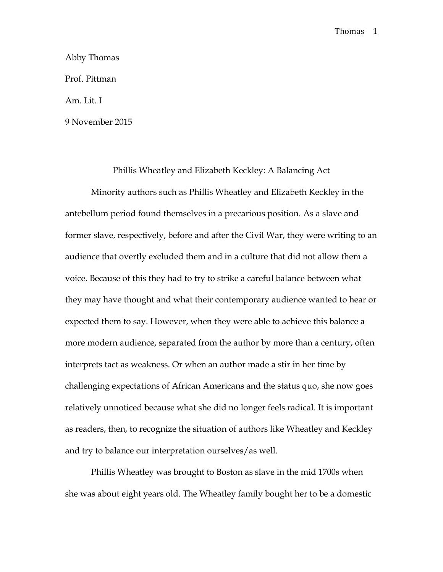Abby Thomas Prof. Pittman Am. Lit. I 9 November 2015

Phillis Wheatley and Elizabeth Keckley: A Balancing Act

Minority authors such as Phillis Wheatley and Elizabeth Keckley in the antebellum period found themselves in a precarious position. As a slave and former slave, respectively, before and after the Civil War, they were writing to an audience that overtly excluded them and in a culture that did not allow them a voice. Because of this they had to try to strike a careful balance between what they may have thought and what their contemporary audience wanted to hear or expected them to say. However, when they were able to achieve this balance a more modern audience, separated from the author by more than a century, often interprets tact as weakness. Or when an author made a stir in her time by challenging expectations of African Americans and the status quo, she now goes relatively unnoticed because what she did no longer feels radical. It is important as readers, then, to recognize the situation of authors like Wheatley and Keckley and try to balance our interpretation ourselves/as well.

Phillis Wheatley was brought to Boston as slave in the mid 1700s when she was about eight years old. The Wheatley family bought her to be a domestic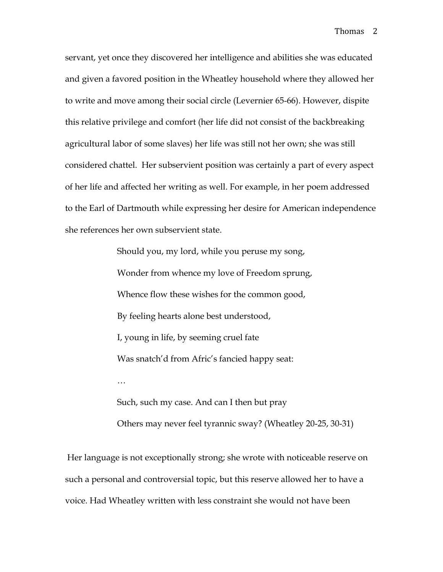servant, yet once they discovered her intelligence and abilities she was educated and given a favored position in the Wheatley household where they allowed her to write and move among their social circle (Levernier 65-66). However, dispite this relative privilege and comfort (her life did not consist of the backbreaking agricultural labor of some slaves) her life was still not her own; she was still considered chattel. Her subservient position was certainly a part of every aspect of her life and affected her writing as well. For example, in her poem addressed to the Earl of Dartmouth while expressing her desire for American independence she references her own subservient state.

> Should you, my lord, while you peruse my song, Wonder from whence my love of Freedom sprung, Whence flow these wishes for the common good, By feeling hearts alone best understood, I, young in life, by seeming cruel fate Was snatch'd from Afric's fancied happy seat: … Such, such my case. And can I then but pray

Others may never feel tyrannic sway? (Wheatley 20-25, 30-31)

Her language is not exceptionally strong; she wrote with noticeable reserve on such a personal and controversial topic, but this reserve allowed her to have a voice. Had Wheatley written with less constraint she would not have been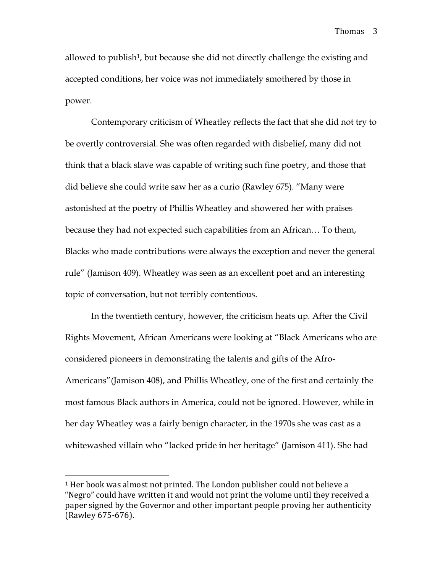allowed to publish<sup>1</sup>, but because she did not directly challenge the existing and accepted conditions, her voice was not immediately smothered by those in power.

Contemporary criticism of Wheatley reflects the fact that she did not try to be overtly controversial. She was often regarded with disbelief, many did not think that a black slave was capable of writing such fine poetry, and those that did believe she could write saw her as a curio (Rawley 675). "Many were astonished at the poetry of Phillis Wheatley and showered her with praises because they had not expected such capabilities from an African… To them, Blacks who made contributions were always the exception and never the general rule" (Jamison 409). Wheatley was seen as an excellent poet and an interesting topic of conversation, but not terribly contentious.

In the twentieth century, however, the criticism heats up. After the Civil Rights Movement, African Americans were looking at "Black Americans who are considered pioneers in demonstrating the talents and gifts of the Afro-Americans"(Jamison 408), and Phillis Wheatley, one of the first and certainly the most famous Black authors in America, could not be ignored. However, while in her day Wheatley was a fairly benign character, in the 1970s she was cast as a whitewashed villain who "lacked pride in her heritage" (Jamison 411). She had

 $\overline{a}$ 

<sup>&</sup>lt;sup>1</sup> Her book was almost not printed. The London publisher could not believe a "Negro" could have written it and would not print the volume until they received a paper signed by the Governor and other important people proving her authenticity (Rawley 675-676).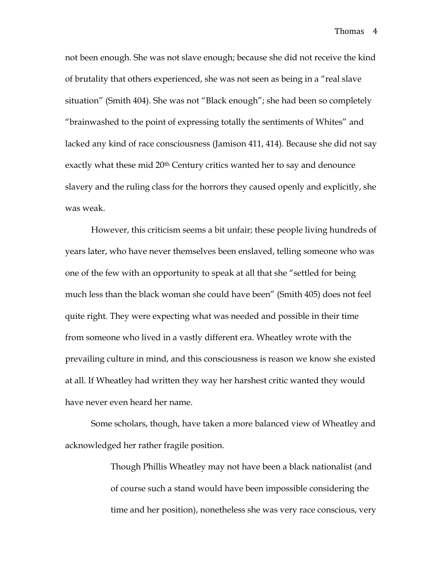not been enough. She was not slave enough; because she did not receive the kind of brutality that others experienced, she was not seen as being in a "real slave situation" (Smith 404). She was not "Black enough"; she had been so completely "brainwashed to the point of expressing totally the sentiments of Whites" and lacked any kind of race consciousness (Jamison 411, 414). Because she did not say exactly what these mid 20<sup>th</sup> Century critics wanted her to say and denounce slavery and the ruling class for the horrors they caused openly and explicitly, she was weak.

However, this criticism seems a bit unfair; these people living hundreds of years later, who have never themselves been enslaved, telling someone who was one of the few with an opportunity to speak at all that she "settled for being much less than the black woman she could have been" (Smith 405) does not feel quite right. They were expecting what was needed and possible in their time from someone who lived in a vastly different era. Wheatley wrote with the prevailing culture in mind, and this consciousness is reason we know she existed at all. If Wheatley had written they way her harshest critic wanted they would have never even heard her name.

Some scholars, though, have taken a more balanced view of Wheatley and acknowledged her rather fragile position.

> Though Phillis Wheatley may not have been a black nationalist (and of course such a stand would have been impossible considering the time and her position), nonetheless she was very race conscious, very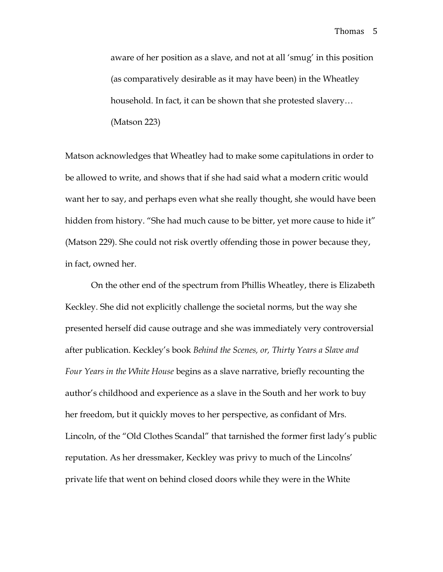aware of her position as a slave, and not at all 'smug' in this position (as comparatively desirable as it may have been) in the Wheatley household. In fact, it can be shown that she protested slavery… (Matson 223)

Matson acknowledges that Wheatley had to make some capitulations in order to be allowed to write, and shows that if she had said what a modern critic would want her to say, and perhaps even what she really thought, she would have been hidden from history. "She had much cause to be bitter, yet more cause to hide it" (Matson 229). She could not risk overtly offending those in power because they, in fact, owned her.

On the other end of the spectrum from Phillis Wheatley, there is Elizabeth Keckley. She did not explicitly challenge the societal norms, but the way she presented herself did cause outrage and she was immediately very controversial after publication. Keckley's book *Behind the Scenes, or, Thirty Years a Slave and Four Years in the White House* begins as a slave narrative, briefly recounting the author's childhood and experience as a slave in the South and her work to buy her freedom, but it quickly moves to her perspective, as confidant of Mrs. Lincoln, of the "Old Clothes Scandal" that tarnished the former first lady's public reputation. As her dressmaker, Keckley was privy to much of the Lincolns' private life that went on behind closed doors while they were in the White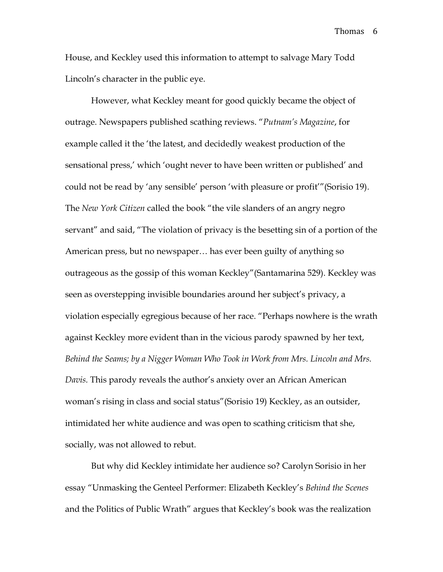House, and Keckley used this information to attempt to salvage Mary Todd Lincoln's character in the public eye.

However, what Keckley meant for good quickly became the object of outrage. Newspapers published scathing reviews. "*Putnam's Magazine*, for example called it the 'the latest, and decidedly weakest production of the sensational press,' which 'ought never to have been written or published' and could not be read by 'any sensible' person 'with pleasure or profit'"(Sorisio 19). The *New York Citizen* called the book "the vile slanders of an angry negro servant" and said, "The violation of privacy is the besetting sin of a portion of the American press, but no newspaper… has ever been guilty of anything so outrageous as the gossip of this woman Keckley"(Santamarina 529). Keckley was seen as overstepping invisible boundaries around her subject's privacy, a violation especially egregious because of her race. "Perhaps nowhere is the wrath against Keckley more evident than in the vicious parody spawned by her text, *Behind the Seams; by a Nigger Woman Who Took in Work from Mrs. Lincoln and Mrs. Davis.* This parody reveals the author's anxiety over an African American woman's rising in class and social status"(Sorisio 19) Keckley, as an outsider, intimidated her white audience and was open to scathing criticism that she, socially, was not allowed to rebut.

But why did Keckley intimidate her audience so? Carolyn Sorisio in her essay "Unmasking the Genteel Performer: Elizabeth Keckley's *Behind the Scenes* and the Politics of Public Wrath" argues that Keckley's book was the realization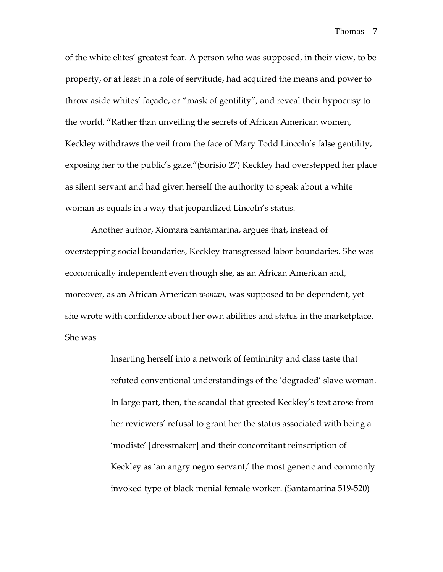of the white elites' greatest fear. A person who was supposed, in their view, to be property, or at least in a role of servitude, had acquired the means and power to throw aside whites' façade, or "mask of gentility", and reveal their hypocrisy to the world. "Rather than unveiling the secrets of African American women, Keckley withdraws the veil from the face of Mary Todd Lincoln's false gentility, exposing her to the public's gaze."(Sorisio 27) Keckley had overstepped her place as silent servant and had given herself the authority to speak about a white woman as equals in a way that jeopardized Lincoln's status.

Another author, Xiomara Santamarina, argues that, instead of overstepping social boundaries, Keckley transgressed labor boundaries. She was economically independent even though she, as an African American and, moreover, as an African American *woman,* was supposed to be dependent, yet she wrote with confidence about her own abilities and status in the marketplace. She was

> Inserting herself into a network of femininity and class taste that refuted conventional understandings of the 'degraded' slave woman. In large part, then, the scandal that greeted Keckley's text arose from her reviewers' refusal to grant her the status associated with being a 'modiste' [dressmaker] and their concomitant reinscription of Keckley as 'an angry negro servant,' the most generic and commonly invoked type of black menial female worker. (Santamarina 519-520)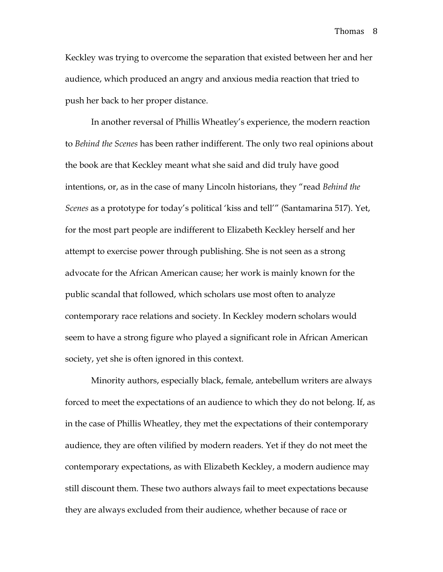Keckley was trying to overcome the separation that existed between her and her audience, which produced an angry and anxious media reaction that tried to push her back to her proper distance.

In another reversal of Phillis Wheatley's experience, the modern reaction to *Behind the Scenes* has been rather indifferent. The only two real opinions about the book are that Keckley meant what she said and did truly have good intentions, or, as in the case of many Lincoln historians, they "read *Behind the Scenes* as a prototype for today's political 'kiss and tell'" (Santamarina 517). Yet, for the most part people are indifferent to Elizabeth Keckley herself and her attempt to exercise power through publishing. She is not seen as a strong advocate for the African American cause; her work is mainly known for the public scandal that followed, which scholars use most often to analyze contemporary race relations and society. In Keckley modern scholars would seem to have a strong figure who played a significant role in African American society, yet she is often ignored in this context.

Minority authors, especially black, female, antebellum writers are always forced to meet the expectations of an audience to which they do not belong. If, as in the case of Phillis Wheatley, they met the expectations of their contemporary audience, they are often vilified by modern readers. Yet if they do not meet the contemporary expectations, as with Elizabeth Keckley, a modern audience may still discount them. These two authors always fail to meet expectations because they are always excluded from their audience, whether because of race or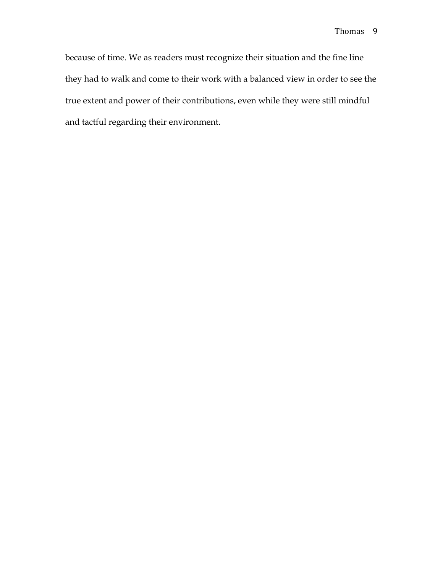because of time. We as readers must recognize their situation and the fine line they had to walk and come to their work with a balanced view in order to see the true extent and power of their contributions, even while they were still mindful and tactful regarding their environment.